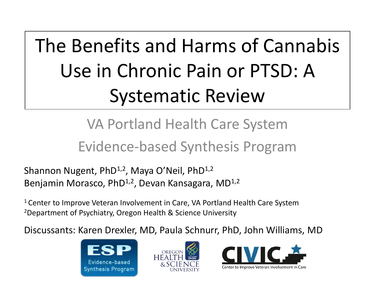# The Benefits and Harms of Cannabis Use in Chronic Pain or PTSD: A Systematic Review

### VA Portland Health Care System Evidence-based Synthesis Program

Shannon Nugent, PhD<sup>1,2</sup>, Maya O'Neil, PhD<sup>1,2</sup> Benjamin Morasco, PhD<sup>1,2</sup>, Devan Kansagara, MD<sup>1,2</sup>

<sup>1</sup> Center to Improve Veteran Involvement in Care, VA Portland Health Care System 2Department of Psychiatry, Oregon Health & Science University

Discussants: Karen Drexler, MD, Paula Schnurr, PhD, John Williams, MD





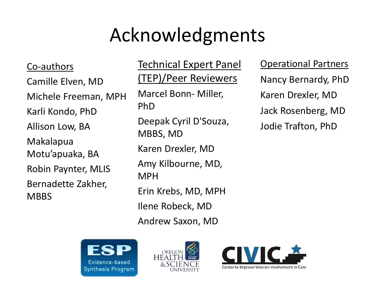## Acknowledgments

Co-authors Camille Elven, MD Michele Freeman, MPH Karli Kondo, PhD Allison Low, BA Makalapua Motu'apuaka, BA Robin Paynter, MLIS Bernadette Zakher, **MBBS** 

Technical Expert Panel (TEP)/Peer Reviewers Marcel Bonn- Miller, PhD Deepak Cyril D'Souza, MBBS, MD Karen Drexler, MD Amy Kilbourne, MD, MPH Erin Krebs, MD, MPH Ilene Robeck, MD Andrew Saxon, MD

Operational Partners Nancy Bernardy, PhD Karen Drexler, MD Jack Rosenberg, MD Jodie Trafton, PhD





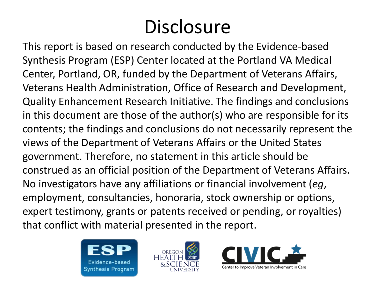# **Disclosure**

 that conflict with material presented in the report. This report is based on research conducted by the Evidence-based Synthesis Program (ESP) Center located at the Portland VA Medical Center, Portland, OR, funded by the Department of Veterans Affairs, Veterans Health Administration, Office of Research and Development, Quality Enhancement Research Initiative. The findings and conclusions in this document are those of the author(s) who are responsible for its contents; the findings and conclusions do not necessarily represent the views of the Department of Veterans Affairs or the United States government. Therefore, no statement in this article should be construed as an official position of the Department of Veterans Affairs. No investigators have any affiliations or financial involvement (*eg*, employment, consultancies, honoraria, stock ownership or options, expert testimony, grants or patents received or pending, or royalties)





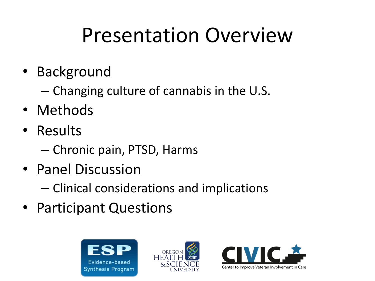# Presentation Overview

- Background
	- Changing culture of cannabis in the U.S.
- Methods
- Results
	- Chronic pain, PTSD, Harms
- Panel Discussion
	- Clinical considerations and implications
- Participant Questions





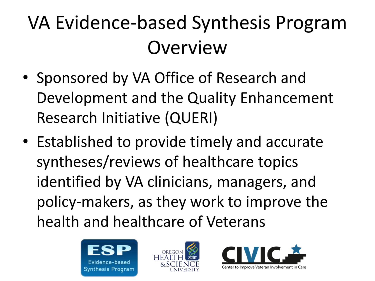# VA Evidence-based Synthesis Program **Overview**

- Sponsored by VA Office of Research and Development and the Quality Enhancement Research Initiative (QUERI)
- Established to provide timely and accurate syntheses/reviews of healthcare topics identified by VA clinicians, managers, and policy-makers, as they work to improve the health and healthcare of Veterans





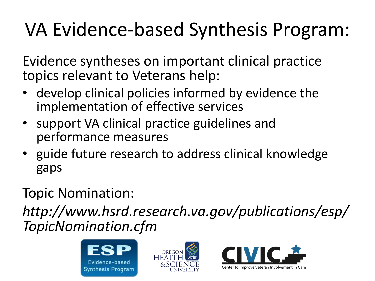## VA Evidence-based Synthesis Program:

Evidence syntheses on important clinical practice topics relevant to Veterans help:

- develop clinical policies informed by evidence the implementation of effective services
- performance measures • support VA clinical practice guidelines and
- guide future research to address clinical knowledge gaps

### Topic Nomination:

*http://www.hsrd.research.va.gov/publications/esp/ TopicNomination.cfm* 





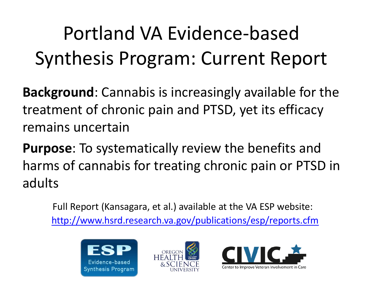# Portland VA Evidence-based Synthesis Program: Current Report

 **Background**: Cannabis is increasingly available for the treatment of chronic pain and PTSD, yet its efficacy remains uncertain

 harms of cannabis for treating chronic pain or PTSD in **Purpose**: To systematically review the benefits and adults

Full Report (Kansagara, et al.) available at the VA ESP website: [http://www.hsrd.research.va.gov/publications/esp/reports.cfm](Psychiatry-Grand-Rounds_2-28-17-v3.pptx) 





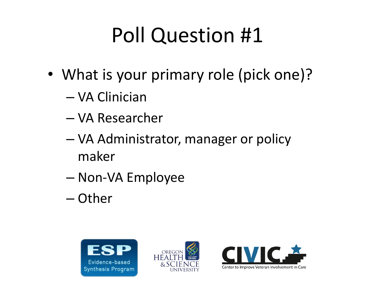# Poll Question #1

- What is your primary role (pick one)?
	- VA Clinician
	- VA Researcher
	- VA Administrator, manager or policy maker
	- Non-VA Employee
	- Other





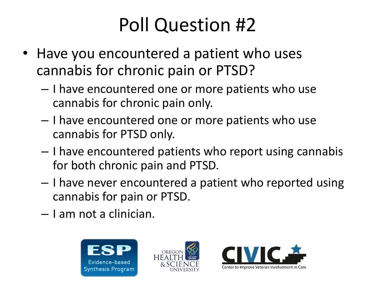### Poll Question #2

- Have you encountered a patient who uses cannabis for chronic pain or PTSD?
	- I have encountered one or more patients who use cannabis for chronic pain only.
	- I have encountered one or more patients who use cannabis for PTSD only.
	- I have encountered patients who report using cannabis for both chronic pain and PTSD.
	- I have never encountered a patient who reported using cannabis for pain or PTSD.
	- – I am not a clinician.





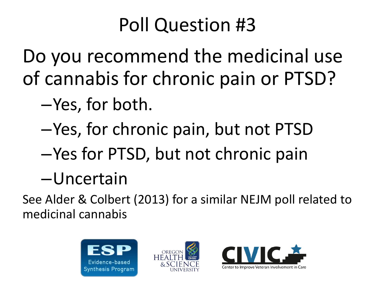### Poll Question #3

Do you recommend the medicinal use of cannabis for chronic pain or PTSD?

- –Yes, for both.
- –Yes, for chronic pain, but not PTSD
- –Yes for PTSD, but not chronic pain
- –Uncertain

 medicinal cannabis See Alder & Colbert (2013) for a similar NEJM poll related to





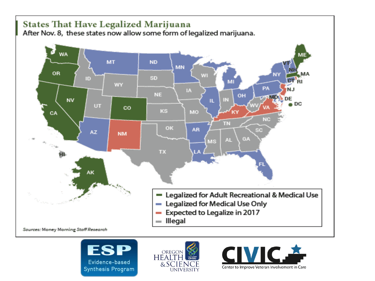





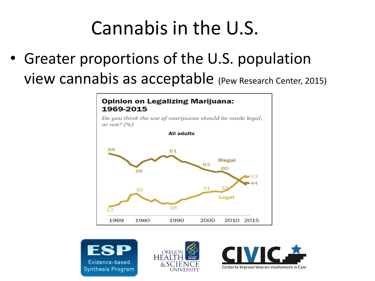### Cannabis in the U.S.

• Greater proportions of the U.S. population view cannabis as acceptable (Pew Research Center, 2015)

#### **Opinion on Legalizing Marijuana:** 1969-2015

Do you think the use of marijuana should be made legal, or not?  $(%)$ 







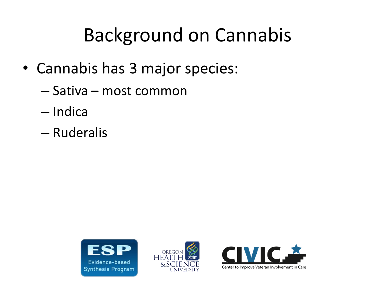### Background on Cannabis

- Cannabis has 3 major species:
	- Sativa most common
	- Indica
	- Ruderalis





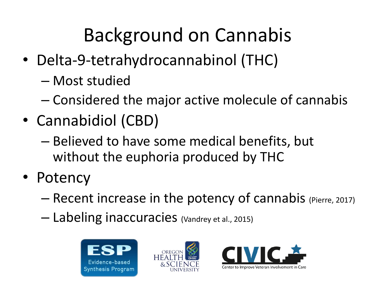# Background on Cannabis

- Delta-9-tetrahydrocannabinol (THC)
	- Most studied
	- Considered the major active molecule of cannabis
- Cannabidiol (CBD)
	- Believed to have some medical benefits, but without the euphoria produced by THC
- Potency
	- Recent increase in the potency of cannabis (Pierre, 2017)
	- Labeling inaccuracies (Vandrey et al., 2015)





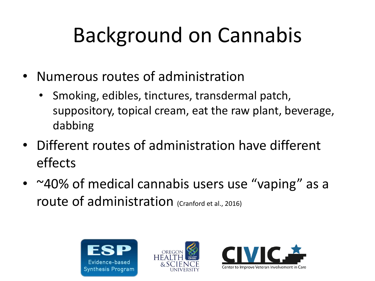# Background on Cannabis

- Numerous routes of administration
	- Smoking, edibles, tinctures, transdermal patch, suppository, topical cream, eat the raw plant, beverage, dabbing
- Different routes of administration have different effects
- ~40% of medical cannabis users use "vaping" as a route of administration (Cranford et al., 2016)





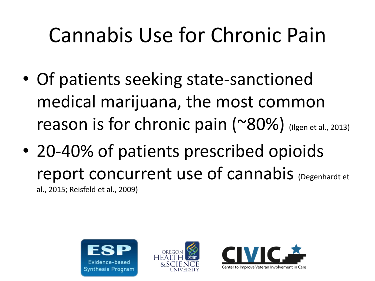# Cannabis Use for Chronic Pain

- Of patients seeking state-sanctioned medical marijuana, the most common reason is for chronic pain  $($  ~80%) (Ilgen et al., 2013)
- 20-40% of patients prescribed opioids report concurrent use of cannabis (Degenhardt et al., 2015; Reisfeld et al., 2009)





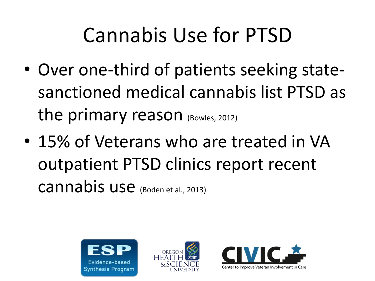# Cannabis Use for PTSD

- Over one-third of patients seeking statesanctioned medical cannabis list PTSD as the primary reason (Bowles, 2012)
- 15% of Veterans who are treated in VA outpatient PTSD clinics report recent cannabis use (Boden et al., 2013)





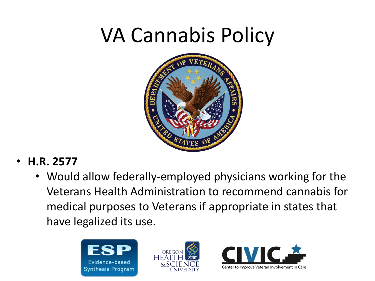# VA Cannabis Policy



- • **H.R. 2577** 
	- Would allow federally-employed physicians working for the Veterans Health Administration to recommend cannabis for medical purposes to Veterans if appropriate in states that have legalized its use.





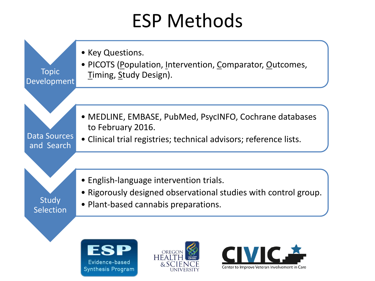### ESP Methods

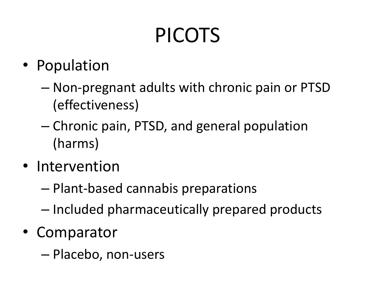# PICOTS

- Population
	- Non-pregnant adults with chronic pain or PTSD (effectiveness)
	- Chronic pain, PTSD, and general population (harms)
- Intervention
	- Plant-based cannabis preparations
	- Included pharmaceutically prepared products
- Comparator
	- Placebo, non-users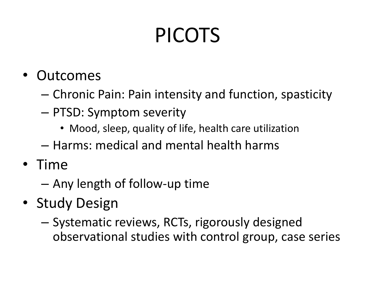# PICOTS

- Outcomes
	- Chronic Pain: Pain intensity and function, spasticity
	- PTSD: Symptom severity
		- Mood, sleep, quality of life, health care utilization
	- Harms: medical and mental health harms
- Time
	- Any length of follow-up time
- Study Design
	- Systematic reviews, RCTs, rigorously designed observational studies with control group, case series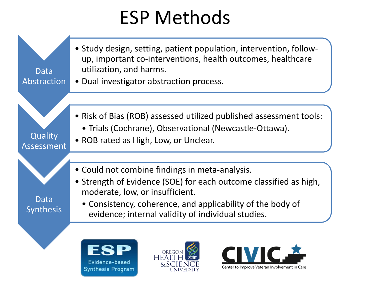### ESP Methods



Evidence-based **Synthesis Program** 



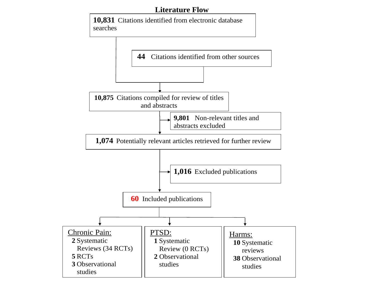#### **Literature Flow**

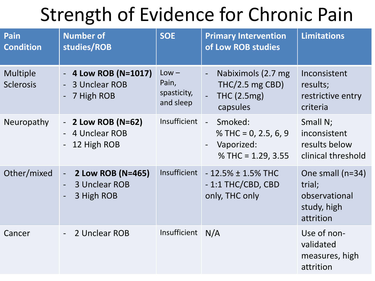### Strength of Evidence for Chronic Pain

| Pain<br><b>Condition</b>     | <b>Number of</b><br>studies/ROB                                                 | <b>SOE</b>                                   | <b>Primary Intervention</b><br>of Low ROB studies                                                         | <b>Limitations</b>                                                      |
|------------------------------|---------------------------------------------------------------------------------|----------------------------------------------|-----------------------------------------------------------------------------------------------------------|-------------------------------------------------------------------------|
| Multiple<br><b>Sclerosis</b> | - 4 Low ROB (N=1017)<br>3 Unclear ROB<br>7 High ROB<br>$\overline{\phantom{a}}$ | $Low -$<br>Pain,<br>spasticity,<br>and sleep | Nabiximols (2.7 mg<br>$THC/2.5$ mg CBD)<br><b>THC (2.5mg)</b><br>capsules                                 | Inconsistent<br>results;<br>restrictive entry<br>criteria               |
| Neuropathy                   | - 2 Low ROB (N=62)<br>4 Unclear ROB<br>12 High ROB                              | Insufficient                                 | Smoked:<br>$\mathbb{L}$<br>% THC = $0, 2.5, 6, 9$<br>Vaporized:<br>$\blacksquare$<br>% THC = $1.29, 3.55$ | Small N;<br>inconsistent<br>results below<br>clinical threshold         |
| Other/mixed                  | 2 Low ROB (N=465)<br>$\sim$<br><b>3 Unclear ROB</b><br>3 High ROB               | <b>Insufficient</b>                          | $-12.5\% \pm 1.5\%$ THC<br>$-1:1$ THC/CBD, CBD<br>only, THC only                                          | One small (n=34)<br>trial;<br>observational<br>study, high<br>attrition |
| Cancer                       | 2 Unclear ROB                                                                   | Insufficient                                 | N/A                                                                                                       | Use of non-<br>validated<br>measures, high<br>attrition                 |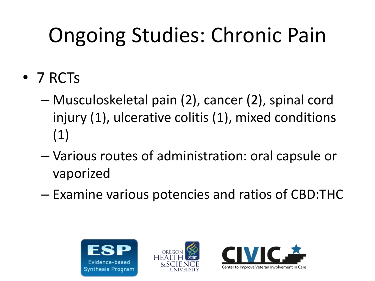# Ongoing Studies: Chronic Pain

- 7 RCTs
	- Musculoskeletal pain (2), cancer (2), spinal cord injury (1), ulcerative colitis (1), mixed conditions (1)
	- Various routes of administration: oral capsule or vaporized
	- Examine various potencies and ratios of CBD:THC





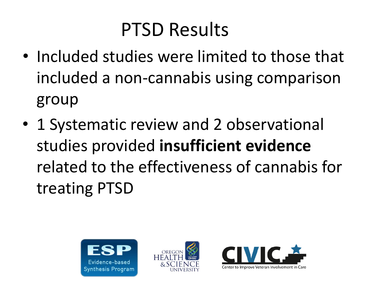### PTSD Results

- Included studies were limited to those that included a non-cannabis using comparison group
- 1 Systematic review and 2 observational studies provided **insufficient evidence**  related to the effectiveness of cannabis for treating PTSD





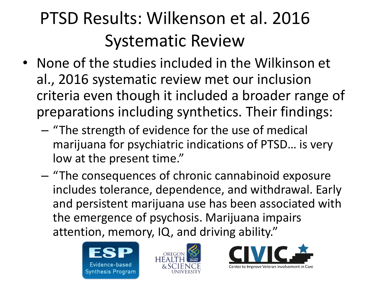### PTSD Results: Wilkenson et al. 2016 Systematic Review

- None of the studies included in the Wilkinson et al., 2016 systematic review met our inclusion criteria even though it included a broader range of preparations including synthetics. Their findings:
	- "The strength of evidence for the use of medical marijuana for psychiatric indications of PTSD... is very low at the present time."
	- – "The consequences of chronic cannabinoid exposure includes tolerance, dependence, and withdrawal. Early and persistent marijuana use has been associated with the emergence of psychosis. Marijuana impairs attention, memory, IQ, and driving ability."





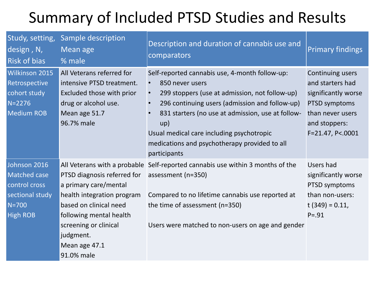### Summary of Included PTSD Studies and Results

| Study, setting,<br>design, N,<br>Risk of bias                                                           | Sample description<br>Mean age<br>% male                                                                                                                                      | Description and duration of cannabis use and<br>comparators                                                                                                                                                                                                                                                                                     | <b>Primary findings</b>                                                                                                               |
|---------------------------------------------------------------------------------------------------------|-------------------------------------------------------------------------------------------------------------------------------------------------------------------------------|-------------------------------------------------------------------------------------------------------------------------------------------------------------------------------------------------------------------------------------------------------------------------------------------------------------------------------------------------|---------------------------------------------------------------------------------------------------------------------------------------|
| Wilkinson 2015<br>Retrospective<br>cohort study<br>$N = 2276$<br><b>Medium ROB</b>                      | All Veterans referred for<br>intensive PTSD treatment.<br>Excluded those with prior<br>drug or alcohol use.<br>Mean age 51.7<br>96.7% male                                    | Self-reported cannabis use, 4-month follow-up:<br>850 never users<br>299 stoppers (use at admission, not follow-up)<br>296 continuing users (admission and follow-up)<br>831 starters (no use at admission, use at follow-<br>up)<br>Usual medical care including psychotropic<br>medications and psychotherapy provided to all<br>participants | Continuing users<br>and starters had<br>significantly worse<br>PTSD symptoms<br>than never users<br>and stoppers:<br>F=21.47, P<.0001 |
| Johnson 2016<br><b>Matched case</b><br>control cross<br>sectional study<br>$N = 700$<br><b>High ROB</b> | PTSD diagnosis referred for<br>a primary care/mental<br>health integration program<br>based on clinical need<br>following mental health<br>screening or clinical<br>judgment. | All Veterans with a probable Self-reported cannabis use within 3 months of the<br>assessment (n=350)<br>Compared to no lifetime cannabis use reported at<br>the time of assessment (n=350)<br>Users were matched to non-users on age and gender                                                                                                 | Users had<br>significantly worse<br>PTSD symptoms<br>than non-users:<br>t $(349) = 0.11$ ,<br>$P = .91$                               |
|                                                                                                         | Mean age 47.1<br>91.0% male                                                                                                                                                   |                                                                                                                                                                                                                                                                                                                                                 |                                                                                                                                       |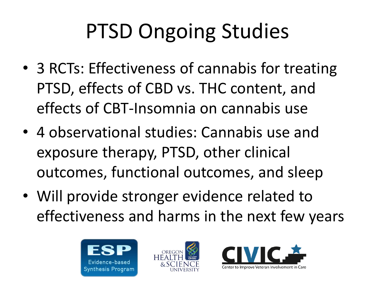# PTSD Ongoing Studies

- 3 RCTs: Effectiveness of cannabis for treating PTSD, effects of CBD vs. THC content, and effects of CBT-Insomnia on cannabis use
- outcomes, functional outcomes, and sleep • 4 observational studies: Cannabis use and exposure therapy, PTSD, other clinical
- Will provide stronger evidence related to effectiveness and harms in the next few years





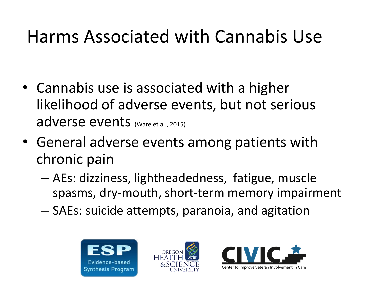### Harms Associated with Cannabis Use

- Cannabis use is associated with a higher likelihood of adverse events, but not serious adverse events (Ware et al., 2015)
- General adverse events among patients with chronic pain
	- AEs: dizziness, lightheadedness, fatigue, muscle spasms, dry-mouth, short-term memory impairment
	- $-$  SAEs: suicide attempts, paranoia, and agitation





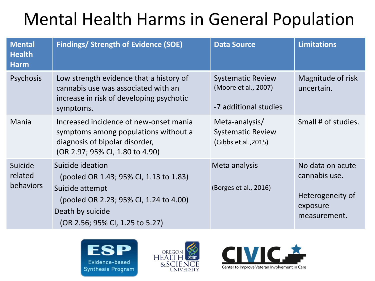### Mental Health Harms in General Population

| <b>Mental</b><br><b>Health</b><br><b>Harm</b> | <b>Findings/ Strength of Evidence (SOE)</b>                                                                                                                                    | <b>Data Source</b>                                                        | <b>Limitations</b>                                                                |
|-----------------------------------------------|--------------------------------------------------------------------------------------------------------------------------------------------------------------------------------|---------------------------------------------------------------------------|-----------------------------------------------------------------------------------|
| Psychosis                                     | Low strength evidence that a history of<br>cannabis use was associated with an<br>increase in risk of developing psychotic<br>symptoms.                                        | <b>Systematic Review</b><br>(Moore et al., 2007)<br>-7 additional studies | Magnitude of risk<br>uncertain.                                                   |
| <b>Mania</b>                                  | Increased incidence of new-onset mania<br>symptoms among populations without a<br>diagnosis of bipolar disorder,<br>(OR 2.97; 95% CI, 1.80 to 4.90)                            | Meta-analysis/<br><b>Systematic Review</b><br>(Gibbs et al., 2015)        | Small # of studies.                                                               |
| Suicide<br>related<br>behaviors               | Suicide ideation<br>(pooled OR 1.43; 95% CI, 1.13 to 1.83)<br>Suicide attempt<br>(pooled OR 2.23; 95% CI, 1.24 to 4.00)<br>Death by suicide<br>(OR 2.56; 95% CI, 1.25 to 5.27) | Meta analysis<br>(Borges et al., 2016)                                    | No data on acute<br>cannabis use.<br>Heterogeneity of<br>exposure<br>measurement. |





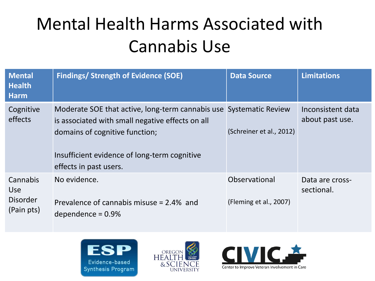### Mental Health Harms Associated with Cannabis Use

| <b>Mental</b><br><b>Health</b><br><b>Harm</b>           | <b>Findings/ Strength of Evidence (SOE)</b>                                                                                                                                                                                        | <b>Data Source</b>                      | <b>Limitations</b>                   |
|---------------------------------------------------------|------------------------------------------------------------------------------------------------------------------------------------------------------------------------------------------------------------------------------------|-----------------------------------------|--------------------------------------|
| Cognitive<br>effects                                    | Moderate SOE that active, long-term cannabis use Systematic Review<br>is associated with small negative effects on all<br>domains of cognitive function;<br>Insufficient evidence of long-term cognitive<br>effects in past users. | (Schreiner et al., 2012)                | Inconsistent data<br>about past use. |
| Cannabis<br><b>Use</b><br><b>Disorder</b><br>(Pain pts) | No evidence.<br>Prevalence of cannabis misuse = 2.4% and<br>dependence = $0.9\%$                                                                                                                                                   | Observational<br>(Fleming et al., 2007) | Data are cross-<br>sectional.        |





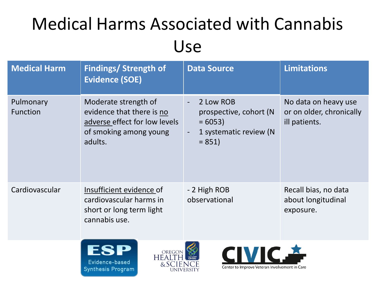### Medical Harms Associated with Cannabis Use

| <b>Medical Harm</b>   | <b>Findings/ Strength of</b><br><b>Evidence (SOE)</b>                                                                   | <b>Data Source</b>                                                                   | <b>Limitations</b>                                                |
|-----------------------|-------------------------------------------------------------------------------------------------------------------------|--------------------------------------------------------------------------------------|-------------------------------------------------------------------|
| Pulmonary<br>Function | Moderate strength of<br>evidence that there is no<br>adverse effect for low levels<br>of smoking among young<br>adults. | 2 Low ROB<br>prospective, cohort (N<br>$= 6053$<br>1 systematic review (N<br>$= 851$ | No data on heavy use<br>or on older, chronically<br>ill patients. |
| Cardiovascular        | Insufficient evidence of<br>cardiovascular harms in<br>short or long term light<br>cannabis use.                        | - 2 High ROB<br>observational                                                        | Recall bias, no data<br>about longitudinal<br>exposure.           |
|                       | ESP<br>OREGON<br>Evidence-based<br>&SCIENCE<br>Cunthoric Drogram                                                        | <b>CIVIC.</b><br>Center to Improve Veteran Involvement in Care                       |                                                                   |

**UNIVERSITY** 

**Synthesis Program**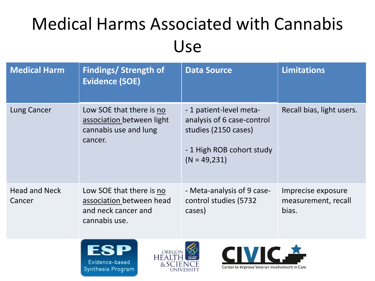### Medical Harms Associated with Cannabis Use

| <b>Medical Harm</b>            | <b>Findings/ Strength of</b><br><b>Evidence (SOE)</b>                                        | <b>Data Source</b>                                                                                                          | <b>Limitations</b>                                 |
|--------------------------------|----------------------------------------------------------------------------------------------|-----------------------------------------------------------------------------------------------------------------------------|----------------------------------------------------|
| Lung Cancer                    | Low SOE that there is no<br>association between light<br>cannabis use and lung<br>cancer.    | -1 patient-level meta-<br>analysis of 6 case-control<br>studies (2150 cases)<br>- 1 High ROB cohort study<br>$(N = 49,231)$ | Recall bias, light users.                          |
| <b>Head and Neck</b><br>Cancer | Low SOE that there is no<br>association between head<br>and neck cancer and<br>cannabis use. | - Meta-analysis of 9 case-<br>control studies (5732<br>cases)                                                               | Imprecise exposure<br>measurement, recall<br>bias. |





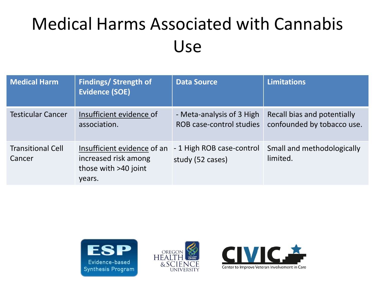### Medical Harms Associated with Cannabis Use

| <b>Medical Harm</b>                | <b>Findings/ Strength of</b><br><b>Evidence (SOE)</b>                                 | <b>Data Source</b>                                    | <b>Limitations</b>                                        |
|------------------------------------|---------------------------------------------------------------------------------------|-------------------------------------------------------|-----------------------------------------------------------|
| <b>Testicular Cancer</b>           | Insufficient evidence of<br>association.                                              | - Meta-analysis of 3 High<br>ROB case-control studies | Recall bias and potentially<br>confounded by tobacco use. |
| <b>Transitional Cell</b><br>Cancer | Insufficient evidence of an<br>increased risk among<br>those with >40 joint<br>years. | - 1 High ROB case-control<br>study (52 cases)         | Small and methodologically<br>limited.                    |





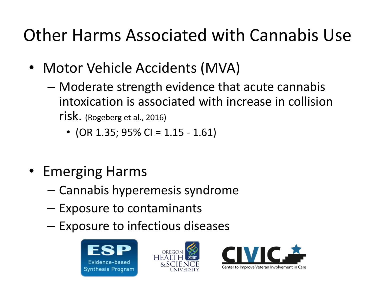### Other Harms Associated with Cannabis Use

- Motor Vehicle Accidents (MVA)
	- Moderate strength evidence that acute cannabis intoxication is associated with increase in collision risk. (Rogeberg et al., 2016)
		- (OR 1.35; 95% CI = 1.15 1.61)
- Emerging Harms
	- Cannabis hyperemesis syndrome
	- Exposure to contaminants
	- Exposure to infectious diseases





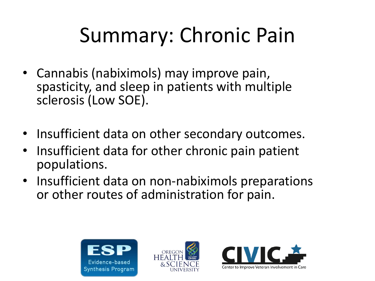# Summary: Chronic Pain

- Cannabis (nabiximols) may improve pain, spasticity, and sleep in patients with multiple sclerosis (Low SOE).
- Insufficient data on other secondary outcomes.
- Insufficient data for other chronic pain patient populations.
- Insufficient data on non-nabiximols preparations or other routes of administration for pain.





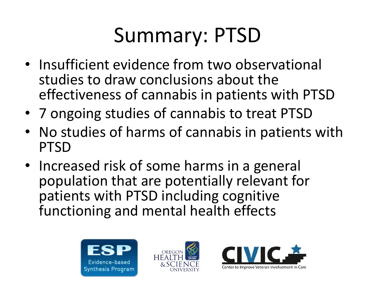# Summary: PTSD

- Insufficient evidence from two observational studies to draw conclusions about the effectiveness of cannabis in patients with PTSD
- 7 ongoing studies of cannabis to treat PTSD
- • No studies of harms of cannabis in patients with PTSD
- Increased risk of some harms in a general population that are potentially relevant for patients with PTSD including cognitive functioning and mental health effects





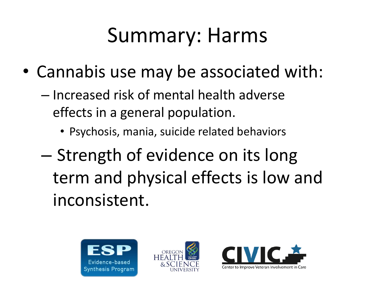# Summary: Harms

- Cannabis use may be associated with:
	- Increased risk of mental health adverse effects in a general population.
		- Psychosis, mania, suicide related behaviors
	- Strength of evidence on its long term and physical effects is low and inconsistent.





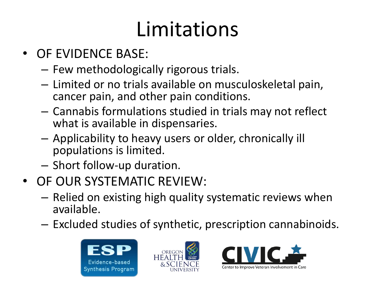# Limitations

- OF EVIDENCE BASE:
	- Few methodologically rigorous trials.
	- Limited or no trials available on musculoskeletal pain, cancer pain, and other pain conditions.
	- Cannabis formulations studied in trials may not reflect what is available in dispensaries.
	- Applicability to heavy users or older, chronically ill populations is limited.
	- Short follow-up duration.
- OF OUR SYSTEMATIC REVIEW:
	- Relied on existing high quality systematic reviews when available.
	- Excluded studies of synthetic, prescription cannabinoids.





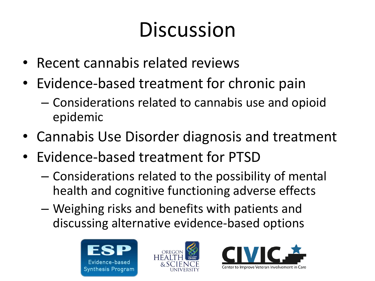# Discussion

- Recent cannabis related reviews
- Evidence-based treatment for chronic pain
	- Considerations related to cannabis use and opioid epidemic
- Cannabis Use Disorder diagnosis and treatment
- Evidence-based treatment for PTSD
	- Considerations related to the possibility of mental health and cognitive functioning adverse effects
	- Weighing risks and benefits with patients and discussing alternative evidence-based options





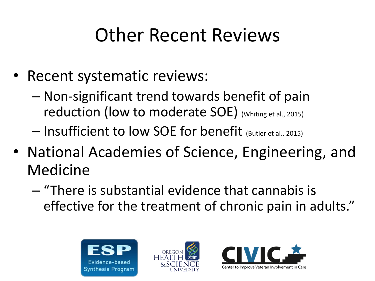### Other Recent Reviews

- Recent systematic reviews:
	- Non-significant trend towards benefit of pain reduction (low to moderate SOE) (Whiting et al., 2015)
	- Insufficient to low SOE for benefit (Butler et al., 2015)
- National Academies of Science, Engineering, and Medicine
	- "There is substantial evidence that cannabis is effective for the treatment of chronic pain in adults."





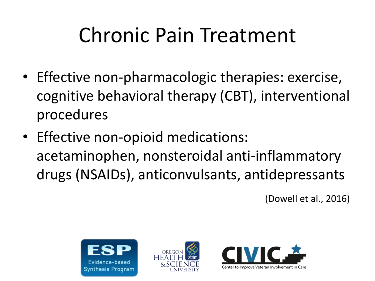# Chronic Pain Treatment

- Effective non-pharmacologic therapies: exercise, cognitive behavioral therapy (CBT), interventional procedures
- Effective non-opioid medications: acetaminophen, nonsteroidal anti-inflammatory drugs (NSAIDs), anticonvulsants, antidepressants

(Dowell et al., 2016)





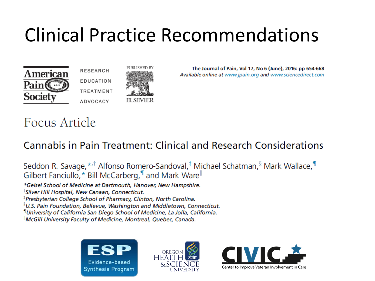### Clinical Practice Recommendations

PUBLISHED B'

**FI SEVIER** 





The Journal of Pain, Vol 17, No 6 (June), 2016: pp 654-668 Available online at www.jpain.org and www.sciencedirect.com

#### Focus Article

#### Cannabis in Pain Treatment: Clinical and Research Considerations

Seddon R. Savage, \*<sup>,†</sup> Alfonso Romero-Sandoval,<sup>‡</sup> Michael Schatman, <sup>§</sup> Mark Wallace, Gilbert Fanciullo, \* Bill McCarberg, I and Mark Ware

\*Geisel School of Medicine at Dartmouth, Hanover, New Hampshire.

<sup>†</sup>Silver Hill Hospital, New Canaan, Connecticut.

<sup>‡</sup>Presbyterian College School of Pharmacy, Clinton, North Carolina.

<sup>§</sup>U.S. Pain Foundation, Bellevue, Washington and Middletown, Connecticut.

<sup>1</sup>University of California San Diego School of Medicine, La Jolla, California.

"McGill University Faculty of Medicine, Montreal, Quebec, Canada.





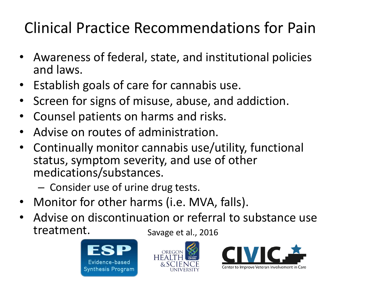### Clinical Practice Recommendations for Pain

- Awareness of federal, state, and institutional policies and laws.
- Establish goals of care for cannabis use.
- • Screen for signs of misuse, abuse, and addiction.
- Counsel patients on harms and risks.
- Advise on routes of administration.
- Continually monitor cannabis use/utility, functional status, symptom severity, and use of other medications/substances.
	- Consider use of urine drug tests.
- Monitor for other harms (i.e. MVA, falls).
- Advise on discontinuation or referral to substance use treatment. Savage et al., 2016





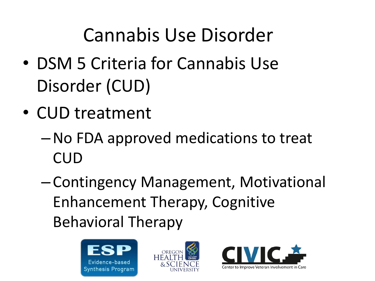### Cannabis Use Disorder

- DSM 5 Criteria for Cannabis Use Disorder (CUD)
- CUD treatment
	- –No FDA approved medications to treat CUD
	- Contingency Management, Motivational Enhancement Therapy, Cognitive Behavioral Therapy





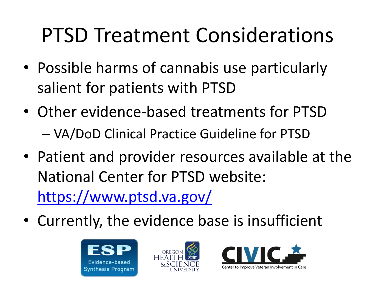# PTSD Treatment Considerations

- Possible harms of cannabis use particularly salient for patients with PTSD
- Other evidence-based treatments for PTSD – VA/DoD Clinical Practice Guideline for PTSD
- Patient and provider resources available at the National Center for PTSD website: <https://www.ptsd.va.gov/>
- Currently, the evidence base is insufficient





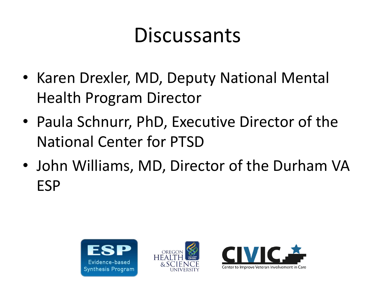# Discussants

- Karen Drexler, MD, Deputy National Mental Health Program Director
- Paula Schnurr, PhD, Executive Director of the National Center for PTSD
- John Williams, MD, Director of the Durham VA ESP